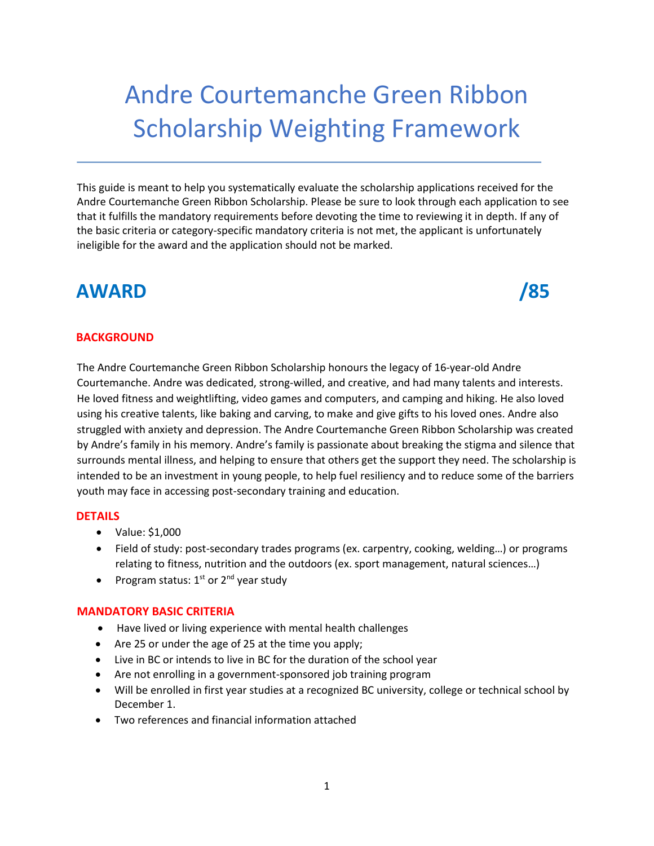# Andre Courtemanche Green Ribbon Scholarship Weighting Framework

This guide is meant to help you systematically evaluate the scholarship applications received for the Andre Courtemanche Green Ribbon Scholarship. Please be sure to look through each application to see that it fulfills the mandatory requirements before devoting the time to reviewing it in depth. If any of the basic criteria or category-specific mandatory criteria is not met, the applicant is unfortunately ineligible for the award and the application should not be marked.

# **AWARD** /85

#### **BACKGROUND**

The Andre Courtemanche Green Ribbon Scholarship honours the legacy of 16-year-old Andre Courtemanche. Andre was dedicated, strong-willed, and creative, and had many talents and interests. He loved fitness and weightlifting, video games and computers, and camping and hiking. He also loved using his creative talents, like baking and carving, to make and give gifts to his loved ones. Andre also struggled with anxiety and depression. The Andre Courtemanche Green Ribbon Scholarship was created by Andre's family in his memory. Andre's family is passionate about breaking the stigma and silence that surrounds mental illness, and helping to ensure that others get the support they need. The scholarship is intended to be an investment in young people, to help fuel resiliency and to reduce some of the barriers youth may face in accessing post-secondary training and education.

#### **DETAILS**

- Value: \$1,000
- Field of study: post-secondary trades programs (ex. carpentry, cooking, welding…) or programs relating to fitness, nutrition and the outdoors (ex. sport management, natural sciences…)
- Program status:  $1<sup>st</sup>$  or  $2<sup>nd</sup>$  year study

#### **MANDATORY BASIC CRITERIA**

- Have lived or living experience with mental health challenges
- Are 25 or under the age of 25 at the time you apply;
- Live in BC or intends to live in BC for the duration of the school year
- Are not enrolling in a government-sponsored job training program
- Will be enrolled in first year studies at a recognized BC university, college or technical school by December 1.
- Two references and financial information attached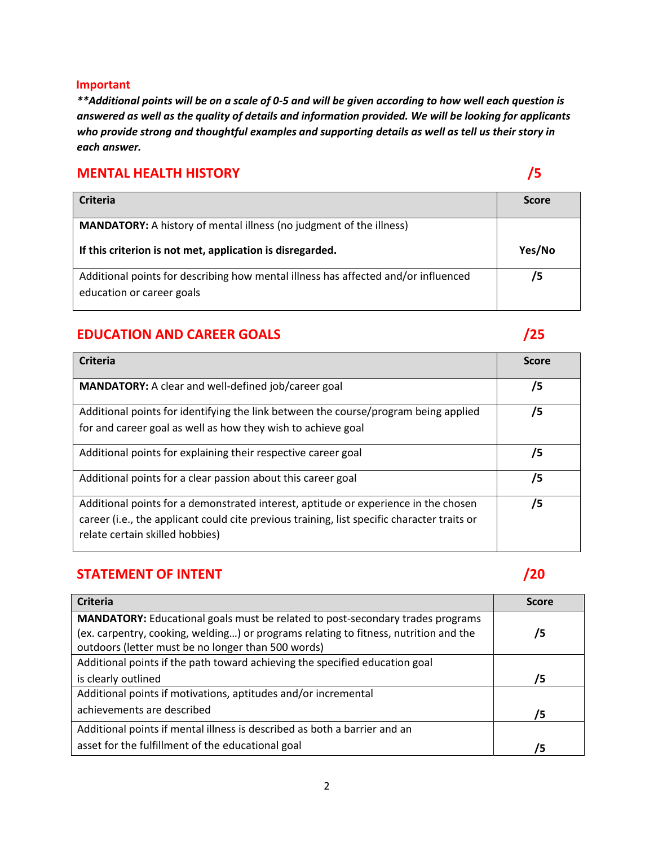#### **Important**

*\*\*Additional points will be on a scale of 0-5 and will be given according to how well each question is answered as well as the quality of details and information provided. We will be looking for applicants who provide strong and thoughtful examples and supporting details as well as tell us their story in each answer.* 

#### **MENTAL HEALTH HISTORY /5**

| Criteria                                                                                                        | <b>Score</b> |
|-----------------------------------------------------------------------------------------------------------------|--------------|
| <b>MANDATORY:</b> A history of mental illness (no judgment of the illness)                                      |              |
| If this criterion is not met, application is disregarded.                                                       | Yes/No       |
| Additional points for describing how mental illness has affected and/or influenced<br>education or career goals | /5           |

### **EDUCATION AND CAREER GOALS /25**

## **Criteria Score MANDATORY:** A clear and well-defined job/career goal **/5** /5 Additional points for identifying the link between the course/program being applied for and career goal as well as how they wish to achieve goal **/5** Additional points for explaining their respective career goal **/5** /5 Additional points for a clear passion about this career goal **/5 /5** Additional points for a demonstrated interest, aptitude or experience in the chosen career (i.e., the applicant could cite previous training, list specific character traits or relate certain skilled hobbies) **/5**

### **STATEMENT OF INTENT /20**

| <b>Criteria</b>                                                                       | <b>Score</b> |
|---------------------------------------------------------------------------------------|--------------|
| <b>MANDATORY:</b> Educational goals must be related to post-secondary trades programs |              |
| (ex. carpentry, cooking, welding) or programs relating to fitness, nutrition and the  | /5           |
| outdoors (letter must be no longer than 500 words)                                    |              |
| Additional points if the path toward achieving the specified education goal           |              |
| is clearly outlined                                                                   | 75           |
| Additional points if motivations, aptitudes and/or incremental                        |              |
| achievements are described                                                            | 75           |
| Additional points if mental illness is described as both a barrier and an             |              |
| asset for the fulfillment of the educational goal                                     | '5           |